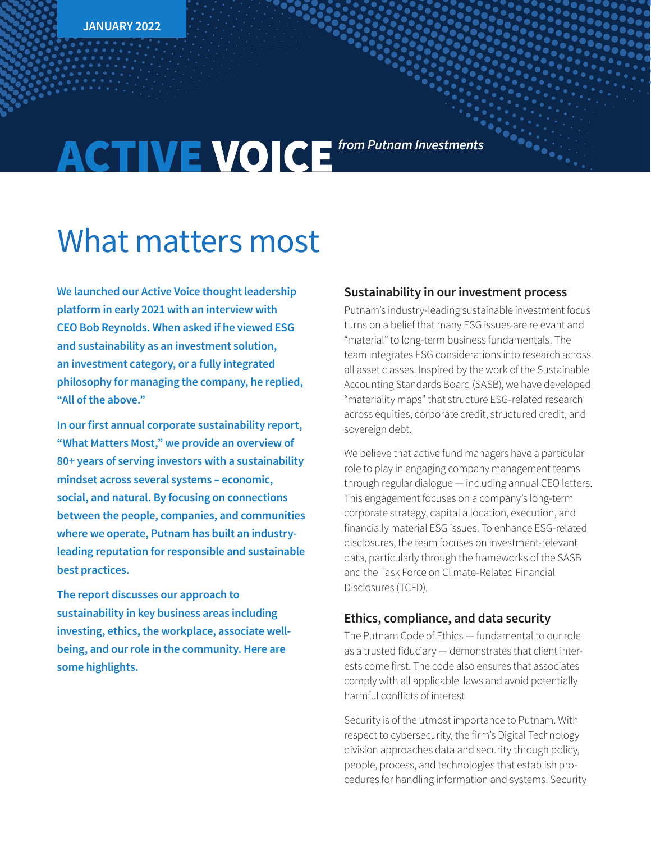# **ACTIVE VOICE** from Putnam Investments

## What matters most

**We launched our Active Voice thought leadership platform in early 2021 with an interview with CEO Bob Reynolds. When asked if he viewed ESG and sustainability as an investment solution, an investment category, or a fully integrated philosophy for managing the company, he replied, "All of the above."**

**In our first annual corporate sustainability report, "What Matters Most," we provide an overview of 80+ years of serving investors with a sustainability mindset across several systems – economic, social, and natural. By focusing on connections between the people, companies, and communities where we operate, Putnam has built an industryleading reputation for responsible and sustainable best practices.**

**The report discusses our approach to sustainability in key business areas including investing, ethics, the workplace, associate wellbeing, and our role in the community. Here are some highlights.**

#### **Sustainability in our investment process**

Putnam's industry-leading sustainable investment focus turns on a belief that many ESG issues are relevant and "material" to long-term business fundamentals. The team integrates ESG considerations into research across all asset classes. Inspired by the work of the Sustainable Accounting Standards Board (SASB), we have developed "materiality maps" that structure ESG-related research across equities, corporate credit, structured credit, and sovereign debt.

We believe that active fund managers have a particular role to play in engaging company management teams through regular dialogue — including annual CEO letters. This engagement focuses on a company's long-term corporate strategy, capital allocation, execution, and financially material ESG issues. To enhance ESG-related disclosures, the team focuses on investment-relevant data, particularly through the frameworks of the SASB and the Task Force on Climate-Related Financial Disclosures (TCFD).

#### **Ethics, compliance, and data security**

The Putnam Code of Ethics — fundamental to our role as a trusted fiduciary — demonstrates that client interests come first. The code also ensures that associates comply with all applicable laws and avoid potentially harmful conflicts of interest.

Security is of the utmost importance to Putnam. With respect to cybersecurity, the firm's Digital Technology division approaches data and security through policy, people, process, and technologies that establish procedures for handling information and systems. Security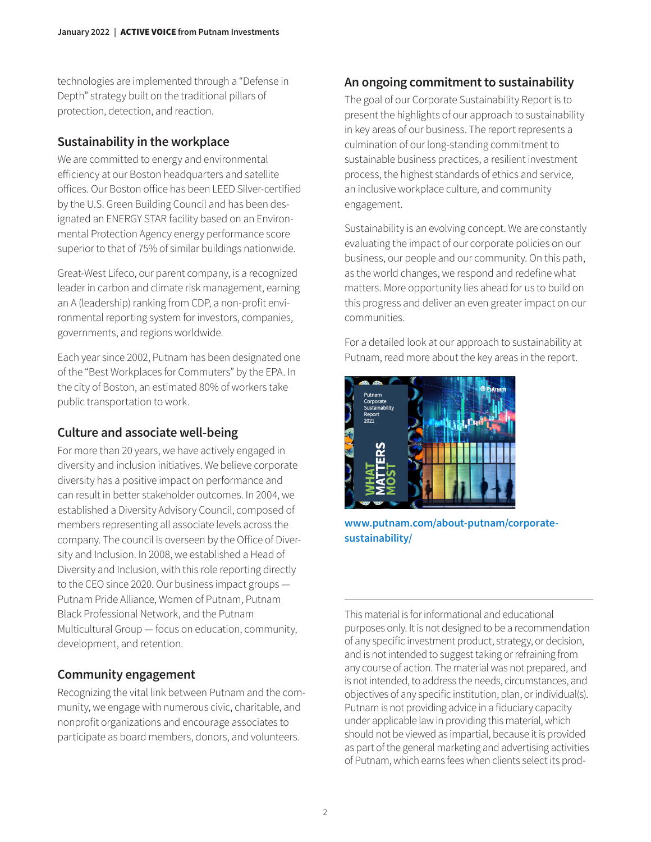technologies are implemented through a "Defense in Depth" strategy built on the traditional pillars of protection, detection, and reaction.

#### **Sustainability in the workplace**

We are committed to energy and environmental efficiency at our Boston headquarters and satellite offices. Our Boston office has been LEED Silver-certified by the U.S. Green Building Council and has been designated an ENERGY STAR facility based on an Environmental Protection Agency energy performance score superior to that of 75% of similar buildings nationwide.

Great-West Lifeco, our parent company, is a recognized leader in carbon and climate risk management, earning an A (leadership) ranking from CDP, a non-profit environmental reporting system for investors, companies, governments, and regions worldwide.

Each year since 2002, Putnam has been designated one of the "Best Workplaces for Commuters" by the EPA. In the city of Boston, an estimated 80% of workers take public transportation to work.

### **Culture and associate well-being**

For more than 20 years, we have actively engaged in diversity and inclusion initiatives. We believe corporate diversity has a positive impact on performance and can result in better stakeholder outcomes. In 2004, we established a Diversity Advisory Council, composed of members representing all associate levels across the company. The council is overseen by the Office of Diversity and Inclusion. In 2008, we established a Head of Diversity and Inclusion, with this role reporting directly to the CEO since 2020. Our business impact groups — Putnam Pride Alliance, Women of Putnam, Putnam Black Professional Network, and the Putnam Multicultural Group — focus on education, community, development, and retention.

### **Community engagement**

Recognizing the vital link between Putnam and the community, we engage with numerous civic, charitable, and nonprofit organizations and encourage associates to participate as board members, donors, and volunteers.

### **An ongoing commitment to sustainability**

The goal of our Corporate Sustainability Report is to present the highlights of our approach to sustainability in key areas of our business. The report represents a culmination of our long-standing commitment to sustainable business practices, a resilient investment process, the highest standards of ethics and service, an inclusive workplace culture, and community engagement.

Sustainability is an evolving concept. We are constantly evaluating the impact of our corporate policies on our business, our people and our community. On this path, as the world changes, we respond and redefine what matters. More opportunity lies ahead for us to build on this progress and deliver an even greater impact on our communities.

For a detailed look at our approach to sustainability at Putnam, read more about the key areas in the report.



**[www.putnam.com/about-putnam/corporate](https://www.www.putnam.com/about-putnam/corporate-sustainability/?ref=PUT012.pdf)[sustainability/](https://www.www.putnam.com/about-putnam/corporate-sustainability/?ref=PUT012.pdf)**

This material is for informational and educational purposes only. It is not designed to be a recommendation of any specific investment product, strategy, or decision, and is not intended to suggest taking or refraining from any course of action. The material was not prepared, and is not intended, to address the needs, circumstances, and objectives of any specific institution, plan, or individual(s). Putnam is not providing advice in a fiduciary capacity under applicable law in providing this material, which should not be viewed as impartial, because it is provided as part of the general marketing and advertising activities of Putnam, which earns fees when clients select its prod